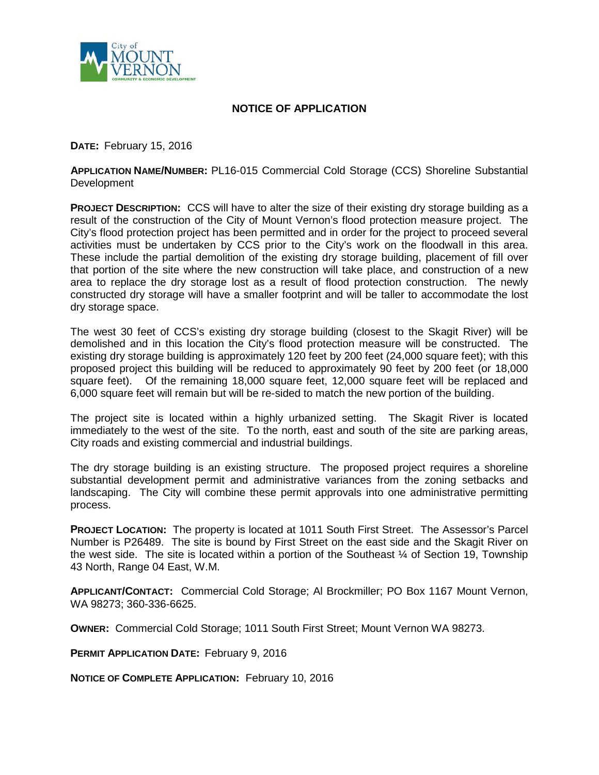

## **NOTICE OF APPLICATION**

**DATE:** February 15, 2016

**APPLICATION NAME/NUMBER:** PL16-015 Commercial Cold Storage (CCS) Shoreline Substantial Development

**PROJECT DESCRIPTION:** CCS will have to alter the size of their existing dry storage building as a result of the construction of the City of Mount Vernon's flood protection measure project. The City's flood protection project has been permitted and in order for the project to proceed several activities must be undertaken by CCS prior to the City's work on the floodwall in this area. These include the partial demolition of the existing dry storage building, placement of fill over that portion of the site where the new construction will take place, and construction of a new area to replace the dry storage lost as a result of flood protection construction. The newly constructed dry storage will have a smaller footprint and will be taller to accommodate the lost dry storage space.

The west 30 feet of CCS's existing dry storage building (closest to the Skagit River) will be demolished and in this location the City's flood protection measure will be constructed. The existing dry storage building is approximately 120 feet by 200 feet (24,000 square feet); with this proposed project this building will be reduced to approximately 90 feet by 200 feet (or 18,000 square feet). Of the remaining 18,000 square feet, 12,000 square feet will be replaced and 6,000 square feet will remain but will be re-sided to match the new portion of the building.

The project site is located within a highly urbanized setting. The Skagit River is located immediately to the west of the site. To the north, east and south of the site are parking areas, City roads and existing commercial and industrial buildings.

The dry storage building is an existing structure. The proposed project requires a shoreline substantial development permit and administrative variances from the zoning setbacks and landscaping. The City will combine these permit approvals into one administrative permitting process.

**PROJECT LOCATION:** The property is located at 1011 South First Street. The Assessor's Parcel Number is P26489. The site is bound by First Street on the east side and the Skagit River on the west side. The site is located within a portion of the Southeast ¼ of Section 19, Township 43 North, Range 04 East, W.M.

**APPLICANT/CONTACT:** Commercial Cold Storage; Al Brockmiller; PO Box 1167 Mount Vernon, WA 98273; 360-336-6625.

**OWNER:** Commercial Cold Storage; 1011 South First Street; Mount Vernon WA 98273.

**PERMIT APPLICATION DATE: February 9, 2016** 

**NOTICE OF COMPLETE APPLICATION:** February 10, 2016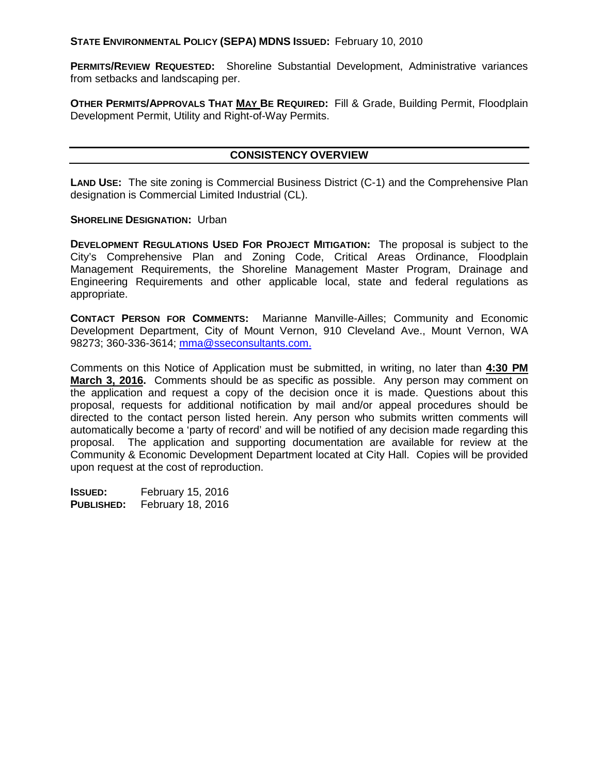**STATE ENVIRONMENTAL POLICY (SEPA) MDNS ISSUED:** February 10, 2010

**PERMITS/REVIEW REQUESTED:** Shoreline Substantial Development, Administrative variances from setbacks and landscaping per.

**OTHER PERMITS/APPROVALS THAT MAY BE REQUIRED:** Fill & Grade, Building Permit, Floodplain Development Permit, Utility and Right-of-Way Permits.

## **CONSISTENCY OVERVIEW**

**LAND USE:** The site zoning is Commercial Business District (C-1) and the Comprehensive Plan designation is Commercial Limited Industrial (CL).

## **SHORELINE DESIGNATION: Urban**

**DEVELOPMENT REGULATIONS USED FOR PROJECT MITIGATION:** The proposal is subject to the City's Comprehensive Plan and Zoning Code, Critical Areas Ordinance, Floodplain Management Requirements, the Shoreline Management Master Program, Drainage and Engineering Requirements and other applicable local, state and federal regulations as appropriate.

**CONTACT PERSON FOR COMMENTS:** Marianne Manville-Ailles; Community and Economic Development Department, City of Mount Vernon, 910 Cleveland Ave., Mount Vernon, WA 98273; 360-336-3614; [mma@sseconsultants.com.](mailto:mma@sseconsultants.com)

Comments on this Notice of Application must be submitted, in writing, no later than **4:30 PM March 3, 2016.** Comments should be as specific as possible. Any person may comment on the application and request a copy of the decision once it is made. Questions about this proposal, requests for additional notification by mail and/or appeal procedures should be directed to the contact person listed herein. Any person who submits written comments will automatically become a 'party of record' and will be notified of any decision made regarding this proposal. The application and supporting documentation are available for review at the Community & Economic Development Department located at City Hall. Copies will be provided upon request at the cost of reproduction.

**ISSUED:** February 15, 2016 **PUBLISHED:** February 18, 2016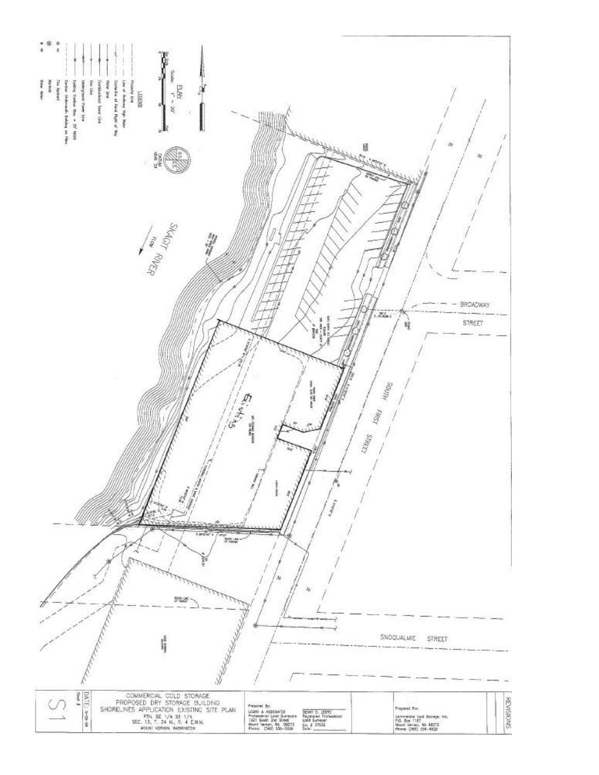